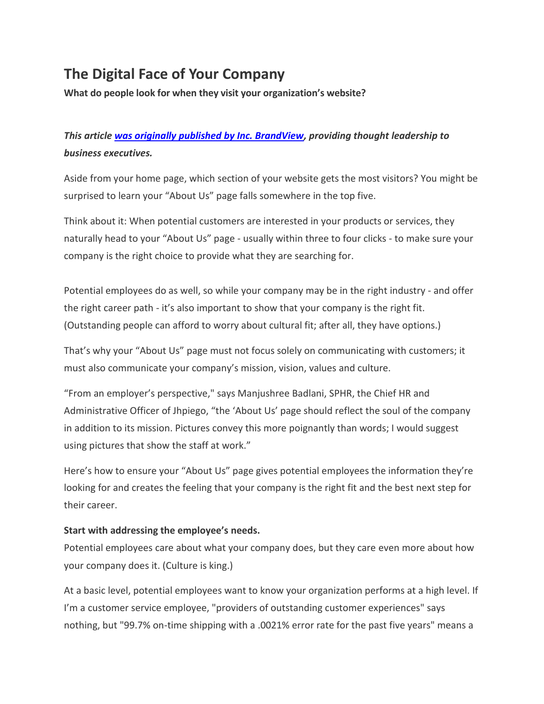# **The Digital Face of Your Company**

**What do people look for when they visit your organization's website?**

# *This article [was originally published by Inc. BrandView,](https://www.inc.com/hrci/the-digital-face-of-your-company.html) providing thought leadership to business executives.*

Aside from your home page, which section of your website gets the most visitors? You might be surprised to learn your "About Us" page falls somewhere in the top five.

Think about it: When potential customers are interested in your products or services, they naturally head to your "About Us" page *-* usually within three to four clicks *-* to make sure your company is the right choice to provide what they are searching for.

Potential employees do as well, so while your company may be in the right industry - and offer the right career path - it's also important to show that your company is the right fit. (Outstanding people can afford to worry about cultural fit; after all, they have options.)

That's why your "About Us" page must not focus solely on communicating with customers; it must also communicate your company's mission, vision, values and culture.

"From an employer's perspective," says Manjushree Badlani, SPHR, the Chief HR and Administrative Officer of Jhpiego, "the 'About Us' page should reflect the soul of the company in addition to its mission. Pictures convey this more poignantly than words; I would suggest using pictures that show the staff at work."

Here's how to ensure your "About Us" page gives potential employees the information they're looking for and creates the feeling that your company is the right fit and the best next step for their career.

## **Start with addressing the employee's needs.**

Potential employees care about what your company does, but they care even more about how your company does it. (Culture is king.)

At a basic level, potential employees want to know your organization performs at a high level. If I'm a customer service employee, "providers of outstanding customer experiences" says nothing, but "99.7% on-time shipping with a .0021% error rate for the past five years" means a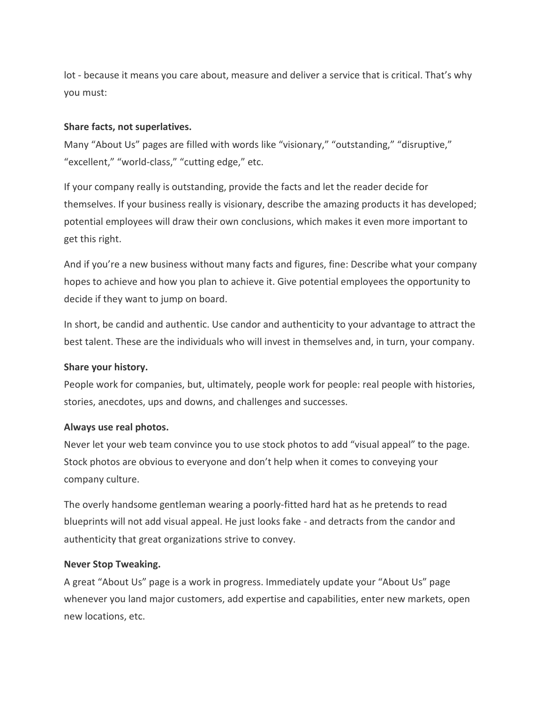lot *-* because it means you care about, measure and deliver a service that is critical. That's why you must:

#### **Share facts, not superlatives.**

Many "About Us" pages are filled with words like "visionary," "outstanding," "disruptive," "excellent," "world-class," "cutting edge," etc.

If your company really is outstanding, provide the facts and let the reader decide for themselves. If your business really is visionary, describe the amazing products it has developed; potential employees will draw their own conclusions, which makes it even more important to get this right.

And if you're a new business without many facts and figures, fine: Describe what your company hopes to achieve and how you plan to achieve it. Give potential employees the opportunity to decide if they want to jump on board.

In short, be candid and authentic. Use candor and authenticity to your advantage to attract the best talent. These are the individuals who will invest in themselves and, in turn, your company.

#### **Share your history.**

People work for companies, but, ultimately, people work for people: real people with histories, stories, anecdotes, ups and downs, and challenges and successes.

#### **Always use real photos.**

Never let your web team convince you to use stock photos to add "visual appeal" to the page. Stock photos are obvious to everyone and don't help when it comes to conveying your company culture.

The overly handsome gentleman wearing a poorly-fitted hard hat as he pretends to read blueprints will not add visual appeal. He just looks fake - and detracts from the candor and authenticity that great organizations strive to convey.

#### **Never Stop Tweaking.**

A great "About Us" page is a work in progress. Immediately update your "About Us" page whenever you land major customers, add expertise and capabilities, enter new markets, open new locations, etc.